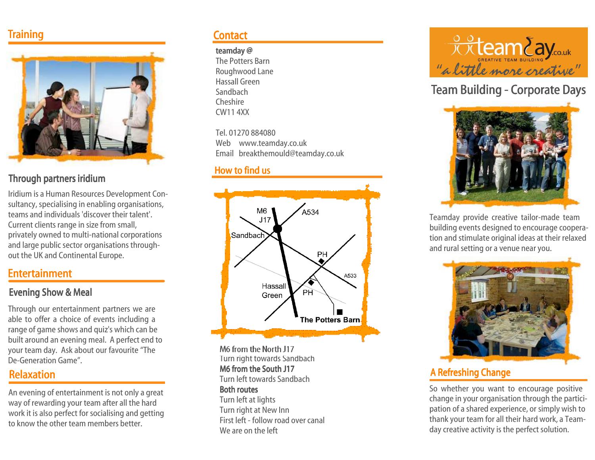# **Training**



#### Through partners iridium

Iridium is a Human Resources Development Con sultancy, specialising in enabling organisations, teams and individuals 'discover their talent'.Current clients range in size from small, privately owned to multi-national corporations and large public sector organisations throughout the UK and Continental Europe.

# Entertainment

#### Evening Show & Meal

Through our entertainment partners we are able to offer a choice of events including a range of game shows and quiz's which can be built around an evening meal. A perfect end to your team day. Ask about our favourite "The De-Generation Game".

# Relaxation

An evening of entertainment is not only a great way of rewarding your team after all the hard work it is also perfect for socialising and gettingto know the other team members better.

# **Contact**

#### teamday @

 The Potters Barn Roughwood LaneHassall GreenSandbach CheshireCW11 4XX

Tel. 01270 884080 Web www.teamday.co.ukEmail breakthemould@teamday.co.uk

### How to find us



M6 from the North J17 Turn right towards SandbachM6 from the South J17 Turn left towards SandbachBoth routes Turn left at lights Turn right at New Inn First left - follow road over canal We are on the left



# Team Building - Corporate Days



Teamday provide creative tailor-made team building events designed to encourage cooperation and stimulate original ideas at their relaxed and rural setting or a venue near you.



# A Refreshing Change

So whether you want to encourage positive change in your organisation through the participation of a shared experience, or simply wish to thank your team for all their hard work, a Teamday creative activity is the perfect solution.